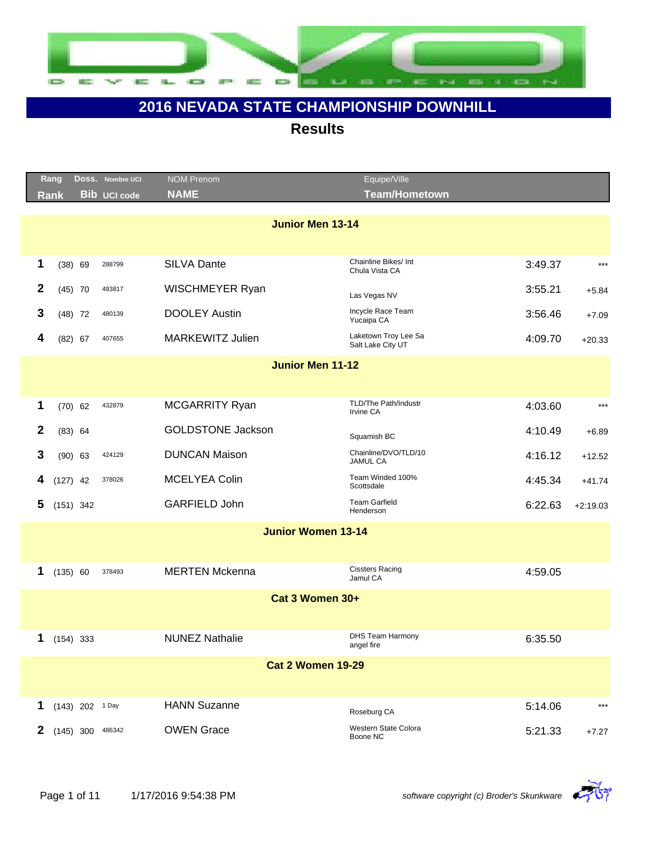

|                         | Rang        |                   | Doss. Nombre UCI    | <b>NOM Prenom</b>         | Equipe/Ville                              |         |            |  |  |  |
|-------------------------|-------------|-------------------|---------------------|---------------------------|-------------------------------------------|---------|------------|--|--|--|
|                         | <b>Rank</b> |                   | <b>Bib UCI code</b> | <b>NAME</b>               | Team/Hometown                             |         |            |  |  |  |
|                         |             |                   |                     |                           |                                           |         |            |  |  |  |
|                         |             |                   |                     | <b>Junior Men 13-14</b>   |                                           |         |            |  |  |  |
|                         |             |                   |                     |                           |                                           |         |            |  |  |  |
| 1                       |             | (38) 69           | 288799              | <b>SILVA Dante</b>        | Chainline Bikes/ Int<br>Chula Vista CA    | 3:49.37 | $***$      |  |  |  |
| $\mathbf{2}$            |             | $(45)$ 70         | 493817              | WISCHMEYER Ryan           | Las Vegas NV                              | 3:55.21 | $+5.84$    |  |  |  |
| 3                       |             | $(48)$ 72         | 480139              | <b>DOOLEY Austin</b>      | Incycle Race Team<br>Yucaipa CA           | 3:56.46 | $+7.09$    |  |  |  |
| 4                       |             | $(82)$ 67         | 407655              | <b>MARKEWITZ Julien</b>   | Laketown Troy Lee Sa<br>Salt Lake City UT | 4:09.70 | $+20.33$   |  |  |  |
| <b>Junior Men 11-12</b> |             |                   |                     |                           |                                           |         |            |  |  |  |
|                         |             |                   |                     |                           |                                           |         |            |  |  |  |
| 1                       |             | $(70)$ 62         | 432879              | MCGARRITY Ryan            | TLD/The Path/Industr<br>Irvine CA         | 4:03.60 | $***$      |  |  |  |
| 2                       |             | $(83)$ 64         |                     | <b>GOLDSTONE Jackson</b>  |                                           | 4:10.49 |            |  |  |  |
|                         |             |                   |                     |                           | Squamish BC                               |         | $+6.89$    |  |  |  |
| 3                       |             | $(90)$ 63         | 424129              | <b>DUNCAN Maison</b>      | Chainline/DVO/TLD/10<br><b>JAMUL CA</b>   | 4:16.12 | $+12.52$   |  |  |  |
| 4                       | $(127)$ 42  |                   | 378026              | <b>MCELYEA Colin</b>      | Team Winded 100%<br>Scottsdale            | 4:45.34 | $+41.74$   |  |  |  |
| 5                       |             | $(151)$ 342       |                     | <b>GARFIELD John</b>      | <b>Team Garfield</b><br>Henderson         | 6:22.63 | $+2:19.03$ |  |  |  |
|                         |             |                   |                     | <b>Junior Women 13-14</b> |                                           |         |            |  |  |  |
|                         |             |                   |                     |                           |                                           |         |            |  |  |  |
| 1                       | (135) 60    |                   | 378493              | <b>MERTEN Mckenna</b>     | <b>Cissters Racing</b><br>Jamul CA        | 4:59.05 |            |  |  |  |
|                         |             |                   |                     | Cat 3 Women 30+           |                                           |         |            |  |  |  |
|                         |             |                   |                     |                           |                                           |         |            |  |  |  |
| 1                       |             | $(154)$ 333       |                     | <b>NUNEZ Nathalie</b>     | <b>DHS Team Harmony</b><br>angel fire     | 6:35.50 |            |  |  |  |
|                         |             |                   |                     | <b>Cat 2 Women 19-29</b>  |                                           |         |            |  |  |  |
|                         |             |                   |                     |                           |                                           |         |            |  |  |  |
|                         |             |                   |                     |                           |                                           |         |            |  |  |  |
| 1                       |             | $(143)$ 202 1 Day |                     | <b>HANN Suzanne</b>       | Roseburg CA                               | 5:14.06 | $***$      |  |  |  |
| $\mathbf{2}$            |             | $(145)$ 300       | 486342              | <b>OWEN Grace</b>         | Western State Colora<br>Boone NC          | 5:21.33 | $+7.27$    |  |  |  |

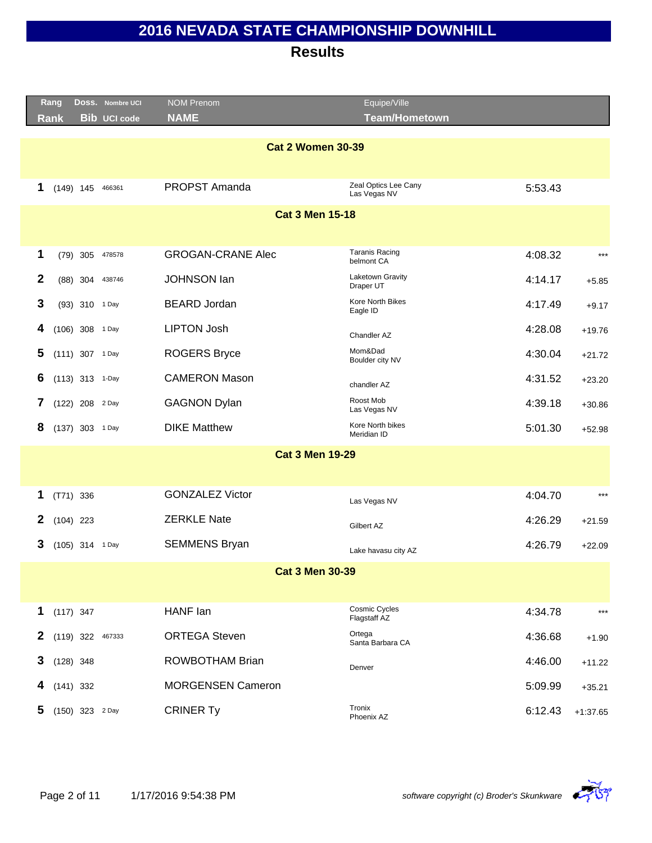|                        |                          | Rang        |                 | Doss. Nombre UCI    | <b>NOM Prenom</b>        | Equipe/Ville                         |         |            |  |  |
|------------------------|--------------------------|-------------|-----------------|---------------------|--------------------------|--------------------------------------|---------|------------|--|--|
|                        |                          | Rank        |                 | <b>Bib UCI code</b> | <b>NAME</b>              | <b>Team/Hometown</b>                 |         |            |  |  |
|                        |                          |             |                 |                     |                          |                                      |         |            |  |  |
|                        | <b>Cat 2 Women 30-39</b> |             |                 |                     |                          |                                      |         |            |  |  |
|                        | 1                        |             | $(149)$ 145     | 466361              | PROPST Amanda            | Zeal Optics Lee Cany<br>Las Vegas NV | 5:53.43 |            |  |  |
| <b>Cat 3 Men 15-18</b> |                          |             |                 |                     |                          |                                      |         |            |  |  |
|                        |                          |             |                 |                     |                          |                                      |         |            |  |  |
|                        | 1                        |             | $(79)$ 305      | 478578              | <b>GROGAN-CRANE Alec</b> | <b>Taranis Racing</b><br>belmont CA  | 4:08.32 | $***$      |  |  |
|                        | $\mathbf{2}$             |             | $(88)$ 304      | 438746              | <b>JOHNSON lan</b>       | Laketown Gravity<br>Draper UT        | 4:14.17 | $+5.85$    |  |  |
|                        | 3                        |             | (93) 310 1 Day  |                     | <b>BEARD Jordan</b>      | Kore North Bikes<br>Eagle ID         | 4:17.49 | $+9.17$    |  |  |
|                        | 4                        |             | (106) 308 1 Day |                     | <b>LIPTON Josh</b>       | Chandler AZ                          | 4:28.08 | $+19.76$   |  |  |
|                        | 5                        |             | (111) 307 1 Day |                     | <b>ROGERS Bryce</b>      | Mom&Dad<br>Boulder city NV           | 4:30.04 | $+21.72$   |  |  |
|                        | 6                        |             | (113) 313 1-Day |                     | <b>CAMERON Mason</b>     | chandler AZ                          | 4:31.52 | $+23.20$   |  |  |
|                        | 7                        |             | (122) 208 2 Day |                     | <b>GAGNON Dylan</b>      | Roost Mob<br>Las Vegas NV            | 4:39.18 | $+30.86$   |  |  |
|                        | 8                        |             | (137) 303 1 Day |                     | <b>DIKE Matthew</b>      | Kore North bikes<br>Meridian ID      | 5:01.30 | $+52.98$   |  |  |
|                        |                          |             |                 |                     | <b>Cat 3 Men 19-29</b>   |                                      |         |            |  |  |
|                        |                          |             |                 |                     |                          |                                      |         |            |  |  |
|                        | 1                        | $(T71)$ 336 |                 |                     | <b>GONZALEZ Victor</b>   | Las Vegas NV                         | 4:04.70 | $***$      |  |  |
|                        | $\mathbf{2}$             | $(104)$ 223 |                 |                     | <b>ZERKLE Nate</b>       | Gilbert AZ                           | 4:26.29 | $+21.59$   |  |  |
|                        | 3                        |             | (105) 314 1 Day |                     | <b>SEMMENS Bryan</b>     | Lake havasu city AZ                  | 4:26.79 | $+22.09$   |  |  |
|                        |                          |             |                 |                     | <b>Cat 3 Men 30-39</b>   |                                      |         |            |  |  |
|                        |                          |             |                 |                     |                          |                                      |         |            |  |  |
|                        | 1                        | $(117)$ 347 |                 |                     | HANF lan                 | Cosmic Cycles<br>Flagstaff AZ        | 4:34.78 | $***$      |  |  |
|                        | 2                        | $(119)$ 322 |                 | 467333              | <b>ORTEGA Steven</b>     | Ortega<br>Santa Barbara CA           | 4:36.68 | $+1.90$    |  |  |
|                        | 3                        | $(128)$ 348 |                 |                     | <b>ROWBOTHAM Brian</b>   | Denver                               | 4:46.00 | $+11.22$   |  |  |
|                        |                          | $(141)$ 332 |                 |                     | <b>MORGENSEN Cameron</b> |                                      | 5:09.99 | $+35.21$   |  |  |
|                        | 5                        |             | (150) 323 2 Day |                     | <b>CRINER Ty</b>         | Tronix<br>Phoenix AZ                 | 6:12.43 | $+1:37.65$ |  |  |
|                        |                          |             |                 |                     |                          |                                      |         |            |  |  |

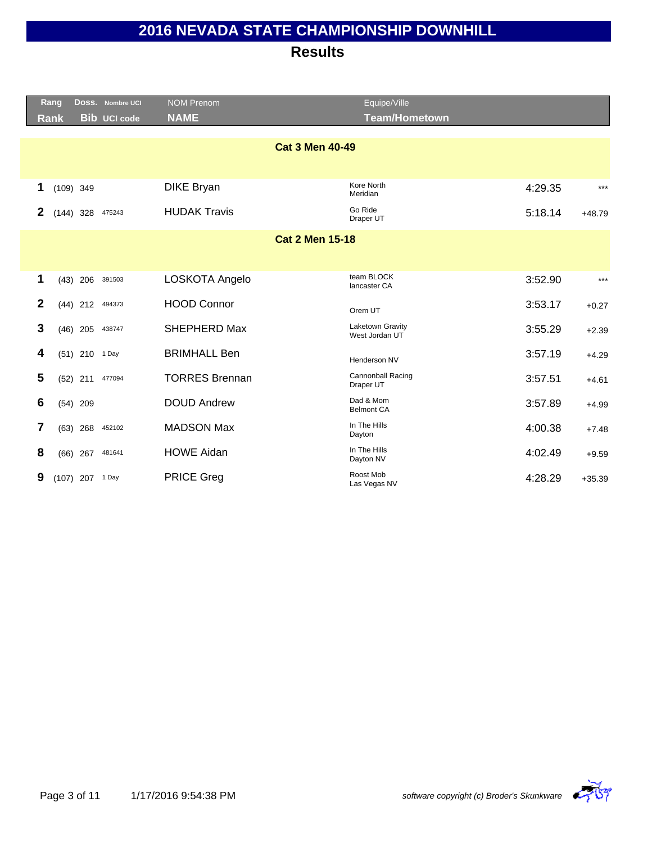|                        |                         | Rang        |                    | Doss. Nombre UCI    | <b>NOM Prenom</b>      | Equipe/Ville                       |         |          |
|------------------------|-------------------------|-------------|--------------------|---------------------|------------------------|------------------------------------|---------|----------|
|                        |                         | <b>Rank</b> |                    | <b>Bib UCI code</b> | <b>NAME</b>            | <b>Team/Hometown</b>               |         |          |
|                        |                         |             |                    |                     |                        |                                    |         |          |
|                        |                         |             |                    |                     | <b>Cat 3 Men 40-49</b> |                                    |         |          |
|                        |                         |             |                    |                     |                        |                                    |         |          |
|                        | $\mathbf 1$             |             | $(109)$ 349        |                     | <b>DIKE Bryan</b>      | Kore North<br>Meridian             | 4:29.35 | $***$    |
|                        | $\mathbf{2}$            |             | $(144)$ 328 475243 |                     | <b>HUDAK Travis</b>    | Go Ride<br>Draper UT               | 5:18.14 | $+48.79$ |
| <b>Cat 2 Men 15-18</b> |                         |             |                    |                     |                        |                                    |         |          |
|                        |                         |             |                    |                     |                        |                                    |         |          |
|                        | 1                       |             | (43) 206 391503    |                     | LOSKOTA Angelo         | team BLOCK                         | 3:52.90 | $***$    |
|                        |                         |             |                    |                     |                        | lancaster CA                       |         |          |
|                        | $\mathbf{2}$            |             | $(44)$ 212         | 494373              | <b>HOOD Connor</b>     | Orem UT                            | 3:53.17 | $+0.27$  |
|                        | 3                       |             | $(46)$ 205         | 438747              | SHEPHERD Max           | Laketown Gravity<br>West Jordan UT | 3:55.29 | $+2.39$  |
|                        | 4                       |             | (51) 210 1 Day     |                     | <b>BRIMHALL Ben</b>    | Henderson NV                       | 3:57.19 | $+4.29$  |
|                        | $\overline{\mathbf{5}}$ |             | $(52)$ 211         | 477094              | <b>TORRES Brennan</b>  | Cannonball Racing<br>Draper UT     | 3:57.51 | $+4.61$  |
|                        | 6                       |             | $(54)$ 209         |                     | <b>DOUD Andrew</b>     | Dad & Mom<br><b>Belmont CA</b>     | 3:57.89 | $+4.99$  |
|                        | $\overline{7}$          |             | $(63)$ 268         | 452102              | <b>MADSON Max</b>      | In The Hills<br>Dayton             | 4:00.38 | $+7.48$  |
|                        | 8                       |             | $(66)$ 267         | 481641              | <b>HOWE Aidan</b>      | In The Hills<br>Dayton NV          | 4:02.49 | $+9.59$  |
|                        | 9                       |             | (107) 207 1 Day    |                     | <b>PRICE Greg</b>      | Roost Mob<br>Las Vegas NV          | 4:28.29 | $+35.39$ |

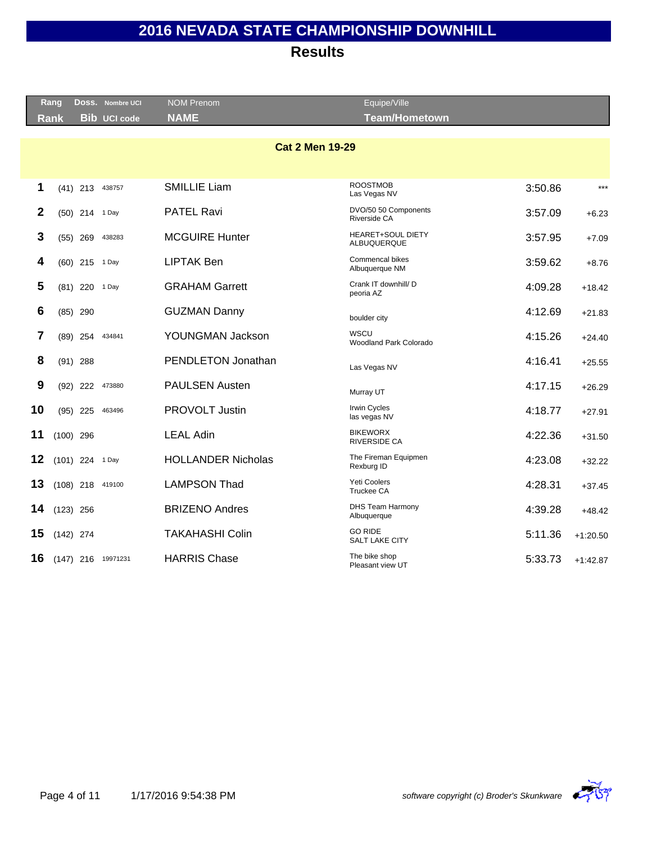|              | Rang        |                 | DOSS. Nombre UCI    | <b>NOM Prenom</b>         | Equipe/Ville                            |         |            |
|--------------|-------------|-----------------|---------------------|---------------------------|-----------------------------------------|---------|------------|
|              | <b>Rank</b> |                 | <b>Bib UCI code</b> | <b>NAME</b>               | <b>Team/Hometown</b>                    |         |            |
|              |             |                 |                     |                           |                                         |         |            |
|              |             |                 |                     | <b>Cat 2 Men 19-29</b>    |                                         |         |            |
|              |             |                 |                     |                           |                                         |         |            |
| $\mathbf 1$  |             | $(41)$ 213      | 438757              | <b>SMILLIE Liam</b>       | <b>ROOSTMOB</b><br>Las Vegas NV         | 3:50.86 | $***$      |
| $\mathbf{2}$ |             | (50) 214 1 Day  |                     | <b>PATEL Ravi</b>         | DVO/50 50 Components<br>Riverside CA    | 3:57.09 | $+6.23$    |
| 3            |             | $(55)$ 269      | 438283              | <b>MCGUIRE Hunter</b>     | <b>HEARET+SOUL DIETY</b><br>ALBUQUERQUE | 3:57.95 | $+7.09$    |
| 4            |             | $(60)$ 215      | 1 Day               | <b>LIPTAK Ben</b>         | Commencal bikes<br>Albuquerque NM       | 3:59.62 | $+8.76$    |
| 5            |             | $(81)$ 220      | 1 Day               | <b>GRAHAM Garrett</b>     | Crank IT downhill/ D<br>peoria AZ       | 4:09.28 | $+18.42$   |
| 6            |             | $(85)$ 290      |                     | <b>GUZMAN Danny</b>       | boulder city                            | 4:12.69 | $+21.83$   |
| 7            |             | $(89)$ 254      | 434841              | YOUNGMAN Jackson          | <b>WSCU</b><br>Woodland Park Colorado   | 4:15.26 | $+24.40$   |
| 8            |             | $(91)$ 288      |                     | PENDLETON Jonathan        | Las Vegas NV                            | 4:16.41 | $+25.55$   |
| 9            |             | $(92)$ 222      | 473880              | <b>PAULSEN Austen</b>     | Murray UT                               | 4:17.15 | $+26.29$   |
| 10           |             | $(95)$ 225      | 463496              | PROVOLT Justin            | <b>Irwin Cycles</b><br>las vegas NV     | 4:18.77 | $+27.91$   |
| 11           |             | $(100)$ 296     |                     | <b>LEAL Adin</b>          | <b>BIKEWORX</b><br><b>RIVERSIDE CA</b>  | 4:22.36 | $+31.50$   |
| 12           |             | (101) 224 1 Day |                     | <b>HOLLANDER Nicholas</b> | The Fireman Equipmen<br>Rexburg ID      | 4:23.08 | $+32.22$   |
| 13           |             |                 | (108) 218 419100    | <b>LAMPSON Thad</b>       | Yeti Coolers<br>Truckee CA              | 4:28.31 | $+37.45$   |
| 14           | $(123)$ 256 |                 |                     | <b>BRIZENO Andres</b>     | <b>DHS Team Harmony</b><br>Albuquerque  | 4:39.28 | $+48.42$   |
| 15           | $(142)$ 274 |                 |                     | <b>TAKAHASHI Colin</b>    | <b>GO RIDE</b><br>SALT LAKE CITY        | 5:11.36 | $+1:20.50$ |
| 16           |             | $(147)$ 216     | 19971231            | <b>HARRIS Chase</b>       | The bike shop<br>Pleasant view UT       | 5:33.73 | $+1:42.87$ |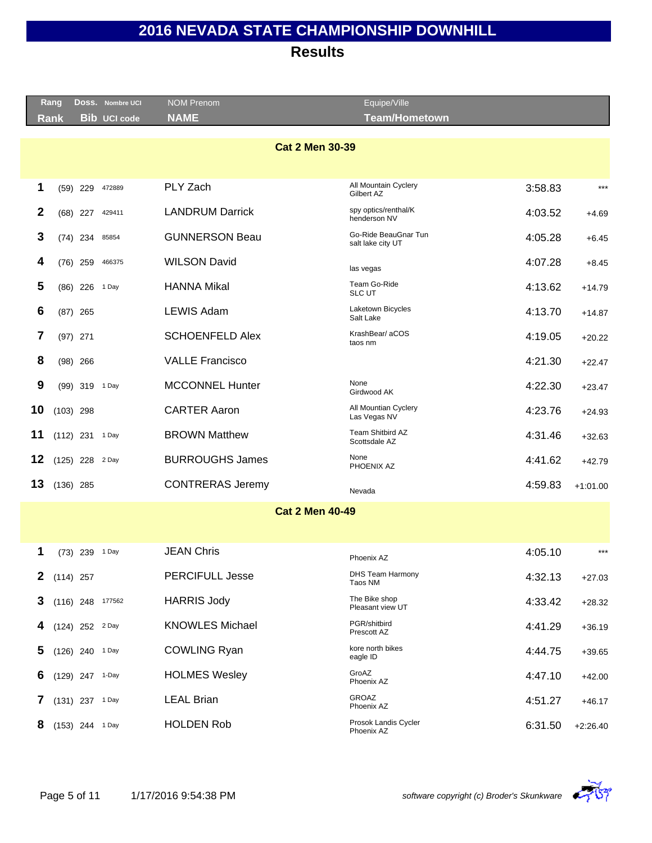|              | Rang                   |                   | Doss. Nombre UCI    | <b>NOM Prenom</b>       | Equipe/Ville                              |         |            |  |  |  |  |
|--------------|------------------------|-------------------|---------------------|-------------------------|-------------------------------------------|---------|------------|--|--|--|--|
|              | Rank                   |                   | <b>Bib UCI code</b> | <b>NAME</b>             | <b>Team/Hometown</b>                      |         |            |  |  |  |  |
|              | <b>Cat 2 Men 30-39</b> |                   |                     |                         |                                           |         |            |  |  |  |  |
| 1            |                        | $(59)$ 229        | 472889              | PLY Zach                | All Mountain Cyclery<br>Gilbert AZ        | 3:58.83 | $***$      |  |  |  |  |
| 2            |                        | $(68)$ 227        | 429411              | <b>LANDRUM Darrick</b>  | spy optics/renthal/K<br>henderson NV      | 4:03.52 | $+4.69$    |  |  |  |  |
| 3            |                        | $(74)$ 234        | 85854               | <b>GUNNERSON Beau</b>   | Go-Ride BeauGnar Tun<br>salt lake city UT | 4:05.28 | $+6.45$    |  |  |  |  |
| 4            |                        | $(76)$ 259        | 466375              | <b>WILSON David</b>     | las vegas                                 | 4:07.28 | $+8.45$    |  |  |  |  |
| 5            |                        | $(86)$ 226        | 1 Day               | <b>HANNA Mikal</b>      | Team Go-Ride<br><b>SLC UT</b>             | 4:13.62 | $+14.79$   |  |  |  |  |
| 6            |                        | $(87)$ 265        |                     | <b>LEWIS Adam</b>       | Laketown Bicycles<br>Salt Lake            | 4:13.70 | $+14.87$   |  |  |  |  |
| 7            |                        | $(97)$ 271        |                     | <b>SCHOENFELD Alex</b>  | KrashBear/ aCOS<br>taos nm                | 4:19.05 | $+20.22$   |  |  |  |  |
| 8            |                        | $(98)$ 266        |                     | <b>VALLE Francisco</b>  |                                           | 4:21.30 | $+22.47$   |  |  |  |  |
| 9            |                        | (99) 319 1 Day    |                     | <b>MCCONNEL Hunter</b>  | None<br>Girdwood AK                       | 4:22.30 | $+23.47$   |  |  |  |  |
| 10           | $(103)$ 298            |                   |                     | <b>CARTER Aaron</b>     | All Mountian Cyclery<br>Las Vegas NV      | 4:23.76 | $+24.93$   |  |  |  |  |
| 11           |                        | (112) 231 1 Day   |                     | <b>BROWN Matthew</b>    | Team Shitbird AZ<br>Scottsdale AZ         | 4:31.46 | $+32.63$   |  |  |  |  |
| 12           |                        | (125) 228 2 Day   |                     | <b>BURROUGHS James</b>  | None<br>PHOENIX AZ                        | 4:41.62 | $+42.79$   |  |  |  |  |
| 13           | $(136)$ 285            |                   |                     | <b>CONTRERAS Jeremy</b> | Nevada                                    | 4:59.83 | $+1:01.00$ |  |  |  |  |
|              |                        |                   |                     | <b>Cat 2 Men 40-49</b>  |                                           |         |            |  |  |  |  |
|              |                        |                   |                     |                         |                                           |         |            |  |  |  |  |
| 1            |                        | (73) 239 1 Day    |                     | <b>JEAN Chris</b>       | Phoenix AZ                                | 4:05.10 | $***$      |  |  |  |  |
| $\mathbf 2$  | $(114)$ 257            |                   |                     | <b>PERCIFULL Jesse</b>  | <b>DHS Team Harmony</b><br>Taos NM        | 4:32.13 | $+27.03$   |  |  |  |  |
| 3            |                        |                   | $(116)$ 248 177562  | <b>HARRIS Jody</b>      | The Bike shop<br>Pleasant view UT         | 4:33.42 | $+28.32$   |  |  |  |  |
| 4            |                        | (124) 252 2 Day   |                     | <b>KNOWLES Michael</b>  | PGR/shitbird<br>Prescott AZ               | 4:41.29 | $+36.19$   |  |  |  |  |
| 5            |                        | (126) 240 1 Day   |                     | <b>COWLING Ryan</b>     | kore north bikes<br>eagle ID              | 4:44.75 | $+39.65$   |  |  |  |  |
| 6            |                        | (129) 247 1-Day   |                     | <b>HOLMES Wesley</b>    | GroAZ<br>Phoenix AZ                       | 4:47.10 | $+42.00$   |  |  |  |  |
| <sup>'</sup> |                        | $(131)$ 237 1 Day |                     | <b>LEAL Brian</b>       | <b>GROAZ</b><br>Phoenix AZ                | 4:51.27 | $+46.17$   |  |  |  |  |
| 8            |                        | (153) 244 1 Day   |                     | <b>HOLDEN Rob</b>       | Prosok Landis Cycler<br>Phoenix AZ        | 6:31.50 | $+2:26.40$ |  |  |  |  |

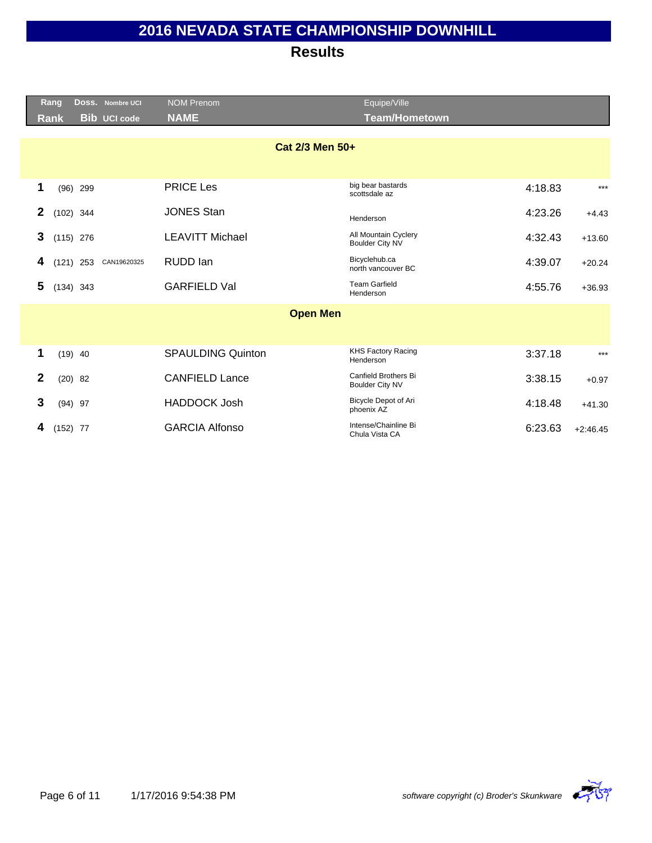|              | Rang            |             | Doss. Nombre UCI | <b>NOM Prenom</b>        | Equipe/Ville                                   |         |            |  |
|--------------|-----------------|-------------|------------------|--------------------------|------------------------------------------------|---------|------------|--|
|              | <b>Rank</b>     |             | Bib UCI code     | <b>NAME</b>              | <b>Team/Hometown</b>                           |         |            |  |
|              | Cat 2/3 Men 50+ |             |                  |                          |                                                |         |            |  |
| 1            |                 | $(96)$ 299  |                  | <b>PRICE Les</b>         | big bear bastards<br>scottsdale az             | 4:18.83 | $***$      |  |
| $\mathbf{2}$ |                 | $(102)$ 344 |                  | <b>JONES Stan</b>        | Henderson                                      | 4:23.26 | $+4.43$    |  |
| 3            |                 | $(115)$ 276 |                  | <b>LEAVITT Michael</b>   | All Mountain Cyclery<br><b>Boulder City NV</b> | 4:32.43 | $+13.60$   |  |
| 4            |                 | $(121)$ 253 | CAN19620325      | RUDD Ian                 | Bicyclehub.ca<br>north vancouver BC            | 4:39.07 | $+20.24$   |  |
| 5            |                 | $(134)$ 343 |                  | <b>GARFIELD Val</b>      | <b>Team Garfield</b><br>Henderson              | 4:55.76 | $+36.93$   |  |
|              |                 |             |                  | <b>Open Men</b>          |                                                |         |            |  |
|              |                 |             |                  |                          |                                                |         |            |  |
| 1            |                 | $(19)$ 40   |                  | <b>SPAULDING Quinton</b> | <b>KHS Factory Racing</b><br>Henderson         | 3:37.18 | $***$      |  |
| $\mathbf{2}$ |                 | $(20)$ 82   |                  | <b>CANFIELD Lance</b>    | Canfield Brothers Bi<br><b>Boulder City NV</b> | 3:38.15 | $+0.97$    |  |
| 3            |                 | $(94)$ 97   |                  | <b>HADDOCK Josh</b>      | Bicycle Depot of Ari<br>phoenix AZ             | 4:18.48 | $+41.30$   |  |
| 4            | $(152)$ 77      |             |                  | <b>GARCIA Alfonso</b>    | Intense/Chainline Bi<br>Chula Vista CA         | 6:23.63 | $+2:46.45$ |  |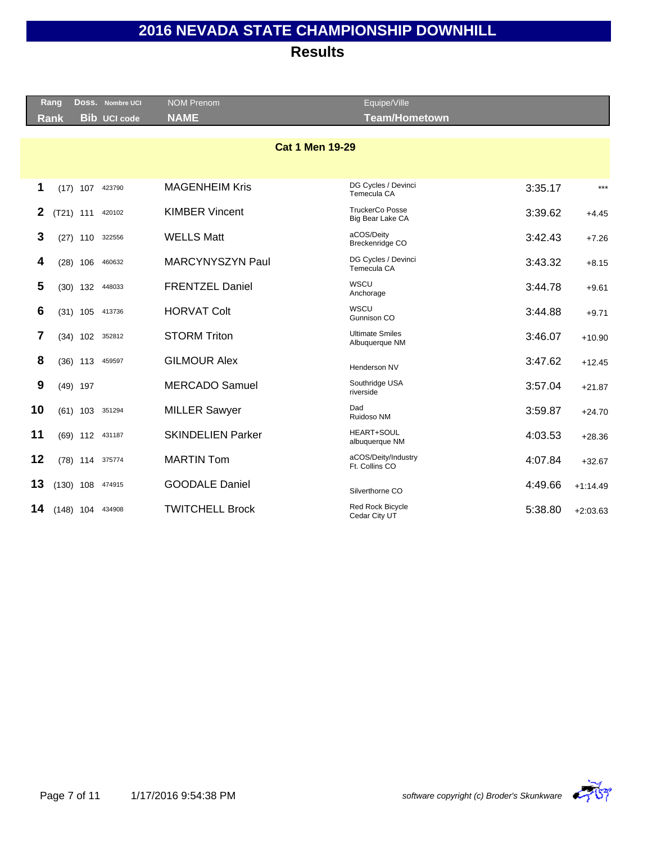|    | Rang        |             | Doss. Nombre UCI    | <b>NOM Prenom</b>        | Equipe/Ville                               |         |            |
|----|-------------|-------------|---------------------|--------------------------|--------------------------------------------|---------|------------|
|    | <b>Rank</b> |             | <b>Bib UCI code</b> | <b>NAME</b>              | <b>Team/Hometown</b>                       |         |            |
|    |             |             |                     |                          |                                            |         |            |
|    |             |             |                     | <b>Cat 1 Men 19-29</b>   |                                            |         |            |
|    |             |             |                     |                          |                                            |         |            |
| 1  |             | $(17)$ 107  | 423790              | <b>MAGENHEIM Kris</b>    | DG Cycles / Devinci<br>Temecula CA         | 3:35.17 | $***$      |
| 2  |             | $(T21)$ 111 | 420102              | <b>KIMBER Vincent</b>    | <b>TruckerCo Posse</b><br>Big Bear Lake CA | 3:39.62 | $+4.45$    |
| 3  |             | $(27)$ 110  | 322556              | <b>WELLS Matt</b>        | aCOS/Deity<br>Breckenridge CO              | 3:42.43 | $+7.26$    |
| 4  |             | $(28)$ 106  | 460632              | MARCYNYSZYN Paul         | DG Cycles / Devinci<br>Temecula CA         | 3:43.32 | $+8.15$    |
| 5  |             |             | (30) 132 448033     | <b>FRENTZEL Daniel</b>   | WSCU<br>Anchorage                          | 3:44.78 | $+9.61$    |
| 6  |             | $(31)$ 105  | 413736              | <b>HORVAT Colt</b>       | <b>WSCU</b><br>Gunnison CO                 | 3:44.88 | $+9.71$    |
| 7  |             | $(34)$ 102  | 352812              | <b>STORM Triton</b>      | <b>Ultimate Smiles</b><br>Albuquerque NM   | 3:46.07 | $+10.90$   |
| 8  |             | $(36)$ 113  | 459597              | <b>GILMOUR Alex</b>      | Henderson NV                               | 3:47.62 | $+12.45$   |
| 9  |             | $(49)$ 197  |                     | <b>MERCADO Samuel</b>    | Southridge USA<br>riverside                | 3:57.04 | $+21.87$   |
| 10 |             |             | (61) 103 351294     | <b>MILLER Sawyer</b>     | Dad<br>Ruidoso NM                          | 3:59.87 | $+24.70$   |
| 11 |             |             | (69) 112 431187     | <b>SKINDELIEN Parker</b> | <b>HEART+SOUL</b><br>albuquerque NM        | 4:03.53 | $+28.36$   |
| 12 |             |             | (78) 114 375774     | <b>MARTIN Tom</b>        | aCOS/Deity/Industry<br>Ft. Collins CO      | 4:07.84 | $+32.67$   |
| 13 |             | $(130)$ 108 | 474915              | <b>GOODALE Daniel</b>    | Silverthorne CO                            | 4:49.66 | $+1:14.49$ |
| 14 |             |             | $(148)$ 104 434908  | <b>TWITCHELL Brock</b>   | <b>Red Rock Bicycle</b><br>Cedar City UT   | 5:38.80 | $+2:03.63$ |

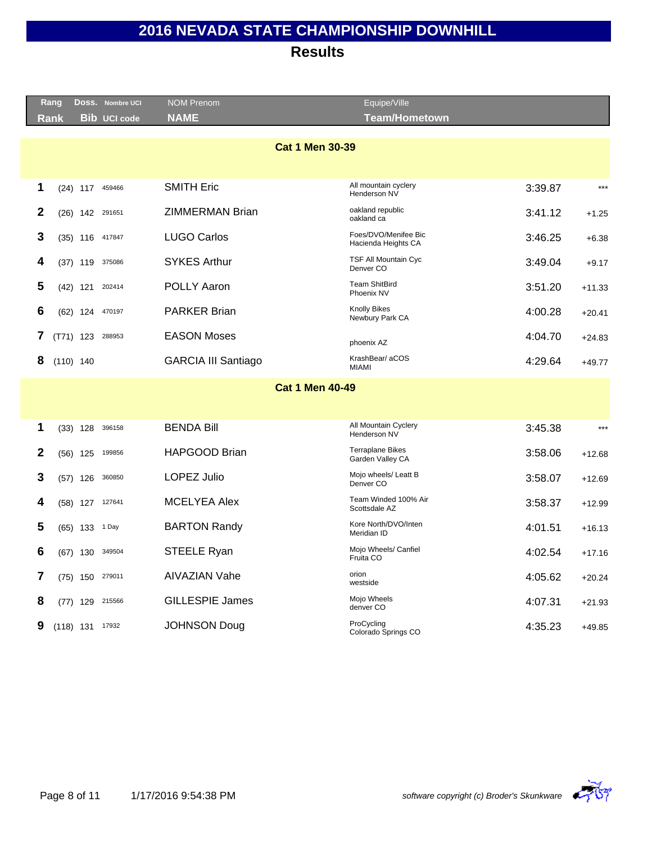|              | Rang                   |                   | DOSS. Nombre UCI    | <b>NOM Prenom</b>          | Equipe/Ville                                 |         |          |  |  |  |
|--------------|------------------------|-------------------|---------------------|----------------------------|----------------------------------------------|---------|----------|--|--|--|
|              | <b>Rank</b>            |                   | <b>Bib</b> UCI code | <b>NAME</b>                | <b>Team/Hometown</b>                         |         |          |  |  |  |
|              |                        |                   |                     |                            |                                              |         |          |  |  |  |
|              | <b>Cat 1 Men 30-39</b> |                   |                     |                            |                                              |         |          |  |  |  |
|              |                        |                   |                     |                            |                                              |         |          |  |  |  |
|              |                        |                   |                     | <b>SMITH Eric</b>          | All mountain cyclery                         |         |          |  |  |  |
| 1            |                        |                   | (24) 117 459466     |                            | Henderson NV                                 | 3:39.87 | $***$    |  |  |  |
| 2            |                        | $(26)$ 142        | 291651              | <b>ZIMMERMAN Brian</b>     | oakland republic<br>oakland ca               | 3:41.12 | $+1.25$  |  |  |  |
| 3            |                        |                   | (35) 116 417847     | <b>LUGO Carlos</b>         | Foes/DVO/Menifee Bic<br>Hacienda Heights CA  | 3:46.25 | $+6.38$  |  |  |  |
| 4            | (37)                   | 119               | 375086              | <b>SYKES Arthur</b>        | TSF All Mountain Cyc<br>Denver CO            | 3:49.04 | $+9.17$  |  |  |  |
| 5            |                        | $(42)$ 121        | 202414              | <b>POLLY Aaron</b>         | <b>Team ShitBird</b><br>Phoenix NV           | 3:51.20 | $+11.33$ |  |  |  |
| 6            |                        | $(62)$ 124        | 470197              | <b>PARKER Brian</b>        | <b>Knolly Bikes</b><br>Newbury Park CA       | 4:00.28 | $+20.41$ |  |  |  |
| 7            |                        | $(T71)$ 123       | 288953              | <b>EASON Moses</b>         | phoenix AZ                                   | 4:04.70 | $+24.83$ |  |  |  |
| 8            |                        | $(110)$ 140       |                     | <b>GARCIA III Santiago</b> | KrashBear/aCOS<br><b>MIAMI</b>               | 4:29.64 | $+49.77$ |  |  |  |
|              |                        |                   |                     | <b>Cat 1 Men 40-49</b>     |                                              |         |          |  |  |  |
|              |                        |                   |                     |                            |                                              |         |          |  |  |  |
|              |                        |                   |                     |                            |                                              |         |          |  |  |  |
| 1            |                        | $(33)$ 128        | 396158              | <b>BENDA Bill</b>          | All Mountain Cyclery<br>Henderson NV         | 3:45.38 | $***$    |  |  |  |
| $\mathbf{2}$ |                        | $(56)$ 125        | 199856              | HAPGOOD Brian              | <b>Terraplane Bikes</b><br>Garden Valley CA  | 3:58.06 | $+12.68$ |  |  |  |
| 3            | (57)                   | 126               | 360850              | <b>LOPEZ Julio</b>         | Mojo wheels/ Leatt B<br>Denver <sub>CO</sub> | 3:58.07 | $+12.69$ |  |  |  |
| 4            |                        | $(58)$ 127        | 127641              | <b>MCELYEA Alex</b>        | Team Winded 100% Air<br>Scottsdale AZ        | 3:58.37 | $+12.99$ |  |  |  |
| 5            |                        | $(65)$ 133        | 1 Day               | <b>BARTON Randy</b>        | Kore North/DVO/Inten<br>Meridian ID          | 4:01.51 | $+16.13$ |  |  |  |
| 6            |                        | $(67)$ 130        | 349504              | STEELE Ryan                | Mojo Wheels/ Canfiel<br>Fruita CO            | 4:02.54 | $+17.16$ |  |  |  |
| 7            |                        | $(75)$ 150        | 279011              | <b>AIVAZIAN Vahe</b>       | orion<br>westside                            | 4:05.62 | $+20.24$ |  |  |  |
| 8            |                        | $(77)$ 129        | 215566              | <b>GILLESPIE James</b>     | Mojo Wheels<br>denver CO                     | 4:07.31 | $+21.93$ |  |  |  |
| 9            |                        | $(118)$ 131 17932 |                     | <b>JOHNSON Doug</b>        | ProCycling<br>Colorado Springs CO            | 4:35.23 | $+49.85$ |  |  |  |
|              |                        |                   |                     |                            |                                              |         |          |  |  |  |

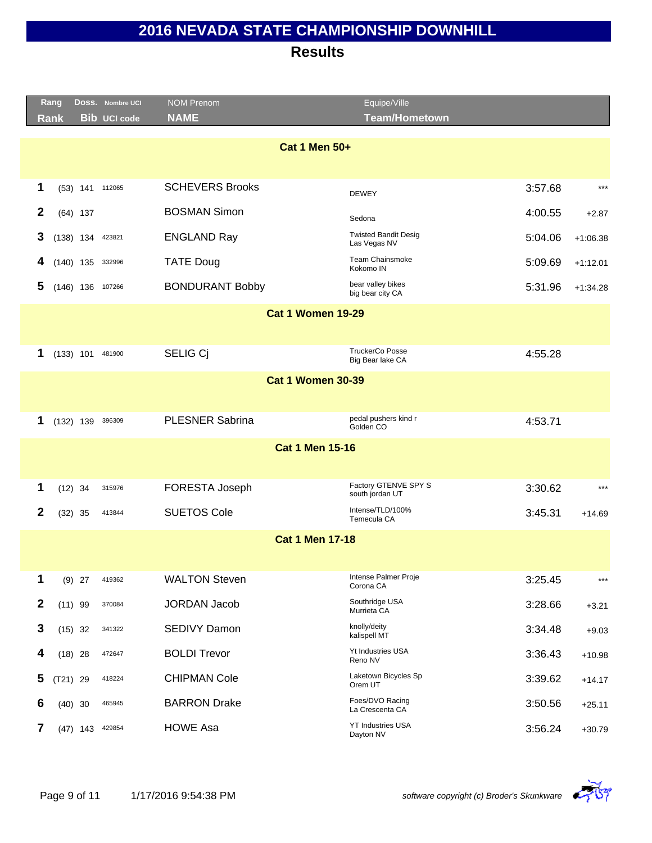|                          | Rang        |             | DOSS. Nombre UCI    | <b>NOM Prenom</b>      | Equipe/Ville                                |         |            |  |  |  |
|--------------------------|-------------|-------------|---------------------|------------------------|---------------------------------------------|---------|------------|--|--|--|
|                          | <b>Rank</b> |             | <b>Bib UCI code</b> | <b>NAME</b>            | <b>Team/Hometown</b>                        |         |            |  |  |  |
| <b>Cat 1 Men 50+</b>     |             |             |                     |                        |                                             |         |            |  |  |  |
|                          |             |             |                     |                        |                                             |         |            |  |  |  |
| 1                        |             |             | (53) 141 112065     | <b>SCHEVERS Brooks</b> | <b>DEWEY</b>                                | 3:57.68 | $***$      |  |  |  |
| $\mathbf{2}$             |             | $(64)$ 137  |                     | <b>BOSMAN Simon</b>    | Sedona                                      | 4:00.55 | $+2.87$    |  |  |  |
| 3                        |             | $(138)$ 134 | 423821              | <b>ENGLAND Ray</b>     | <b>Twisted Bandit Desig</b><br>Las Vegas NV | 5:04.06 | $+1:06.38$ |  |  |  |
| 4                        |             |             | $(140)$ 135 332996  | <b>TATE Doug</b>       | <b>Team Chainsmoke</b><br>Kokomo IN         | 5:09.69 | $+1:12.01$ |  |  |  |
| 5                        |             |             | $(146)$ 136 107266  | <b>BONDURANT Bobby</b> | bear valley bikes<br>big bear city CA       | 5:31.96 | $+1:34.28$ |  |  |  |
| <b>Cat 1 Women 19-29</b> |             |             |                     |                        |                                             |         |            |  |  |  |
|                          |             |             |                     |                        |                                             |         |            |  |  |  |
| 1                        |             | $(133)$ 101 | 481900              | SELIG Cj               | <b>TruckerCo Posse</b><br>Big Bear lake CA  | 4:55.28 |            |  |  |  |
| <b>Cat 1 Women 30-39</b> |             |             |                     |                        |                                             |         |            |  |  |  |
|                          |             |             |                     |                        |                                             |         |            |  |  |  |
| 1                        |             | $(132)$ 139 | 396309              | <b>PLESNER Sabrina</b> | pedal pushers kind r<br>Golden CO           | 4:53.71 |            |  |  |  |
|                          |             |             |                     | <b>Cat 1 Men 15-16</b> |                                             |         |            |  |  |  |
|                          |             |             |                     |                        |                                             |         |            |  |  |  |
| 1                        | $(12)$ 34   |             | 315976              | FORESTA Joseph         | Factory GTENVE SPY S<br>south jordan UT     | 3:30.62 | $***$      |  |  |  |
| 2                        | $(32)$ 35   |             | 413844              | <b>SUETOS Cole</b>     | Intense/TLD/100%<br>Temecula CA             | 3:45.31 | $+14.69$   |  |  |  |
|                          |             |             |                     | <b>Cat 1 Men 17-18</b> |                                             |         |            |  |  |  |
|                          |             |             |                     |                        |                                             |         |            |  |  |  |
| 1                        |             | $(9)$ 27    | 419362              | <b>WALTON Steven</b>   | Intense Palmer Proje<br>Corona CA           | 3:25.45 | $***$      |  |  |  |
| $\mathbf{2}$             | $(11)$ 99   |             | 370084              | <b>JORDAN Jacob</b>    | Southridge USA<br>Murrieta CA               | 3:28.66 | $+3.21$    |  |  |  |
| 3                        | $(15)$ 32   |             | 341322              | SEDIVY Damon           | knolly/deity<br>kalispell MT                | 3:34.48 | $+9.03$    |  |  |  |
| 4                        | $(18)$ 28   |             | 472647              | <b>BOLDI Trevor</b>    | Yt Industries USA<br>Reno NV                | 3:36.43 | $+10.98$   |  |  |  |
| 5                        | $(T21)$ 29  |             | 418224              | <b>CHIPMAN Cole</b>    | Laketown Bicycles Sp<br>Orem UT             | 3:39.62 | $+14.17$   |  |  |  |
| 6                        | $(40)$ 30   |             | 465945              | <b>BARRON Drake</b>    | Foes/DVO Racing<br>La Crescenta CA          | 3:50.56 | $+25.11$   |  |  |  |
| 7                        |             | $(47)$ 143  | 429854              | <b>HOWE Asa</b>        | <b>YT Industries USA</b><br>Dayton NV       | 3:56.24 | $+30.79$   |  |  |  |

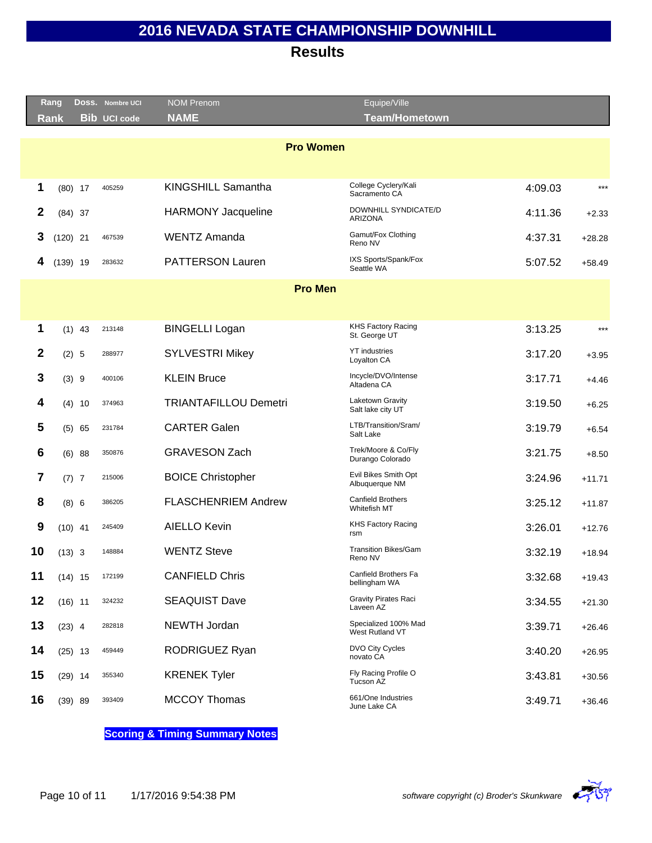### **Results**

|             | Rang             |           | DOSS. Nombre UCI    | <b>NOM Prenom</b>            | Equipe/Ville                               |         |          |  |  |  |
|-------------|------------------|-----------|---------------------|------------------------------|--------------------------------------------|---------|----------|--|--|--|
|             | <b>Rank</b>      |           | <b>Bib UCI code</b> | <b>NAME</b>                  | <b>Team/Hometown</b>                       |         |          |  |  |  |
|             |                  |           |                     |                              |                                            |         |          |  |  |  |
|             | <b>Pro Women</b> |           |                     |                              |                                            |         |          |  |  |  |
|             |                  |           |                     |                              |                                            |         |          |  |  |  |
| 1           | $(80)$ 17        |           | 405259              | KINGSHILL Samantha           | College Cyclery/Kali<br>Sacramento CA      | 4:09.03 | $***$    |  |  |  |
| 2           |                  | $(84)$ 37 |                     | <b>HARMONY Jacqueline</b>    | DOWNHILL SYNDICATE/D<br><b>ARIZONA</b>     | 4:11.36 | $+2.33$  |  |  |  |
| 3           | $(120)$ 21       |           | 467539              | <b>WENTZ Amanda</b>          | Gamut/Fox Clothing<br>Reno NV              | 4:37.31 | $+28.28$ |  |  |  |
| 4           | $(139)$ 19       |           | 283632              | <b>PATTERSON Lauren</b>      | IXS Sports/Spank/Fox<br>Seattle WA         | 5:07.52 | $+58.49$ |  |  |  |
|             |                  |           |                     | <b>Pro Men</b>               |                                            |         |          |  |  |  |
|             |                  |           |                     |                              |                                            |         |          |  |  |  |
| 1           |                  | $(1)$ 43  | 213148              | <b>BINGELLI Logan</b>        | <b>KHS Factory Racing</b><br>St. George UT | 3:13.25 | $***$    |  |  |  |
| $\mathbf 2$ | (2) 5            |           | 288977              | <b>SYLVESTRI Mikey</b>       | <b>YT</b> industries<br>Loyalton CA        | 3:17.20 | $+3.95$  |  |  |  |
| 3           | (3) 9            |           | 400106              | <b>KLEIN Bruce</b>           | Incycle/DVO/Intense<br>Altadena CA         | 3:17.71 | $+4.46$  |  |  |  |
| 4           | (4)              | 10        | 374963              | <b>TRIANTAFILLOU Demetri</b> | Laketown Gravity<br>Salt lake city UT      | 3:19.50 | $+6.25$  |  |  |  |
| 5           | (5)              | 65        | 231784              | <b>CARTER Galen</b>          | LTB/Transition/Sram/<br>Salt Lake          | 3:19.79 | $+6.54$  |  |  |  |
| 6           | (6)              | 88        | 350876              | <b>GRAVESON Zach</b>         | Trek/Moore & Co/Fly<br>Durango Colorado    | 3:21.75 | $+8.50$  |  |  |  |
| 7           | $(7)$ 7          |           | 215006              | <b>BOICE Christopher</b>     | Evil Bikes Smith Opt<br>Albuquerque NM     | 3:24.96 | $+11.71$ |  |  |  |
| 8           | (8) 6            |           | 386205              | <b>FLASCHENRIEM Andrew</b>   | <b>Canfield Brothers</b><br>Whitefish MT   | 3:25.12 | $+11.87$ |  |  |  |
| 9           | $(10)$ 41        |           | 245409              | <b>AIELLO Kevin</b>          | <b>KHS Factory Racing</b><br>rsm           | 3:26.01 | $+12.76$ |  |  |  |
| 10          | $(13)$ 3         |           | 148884              | <b>WENTZ Steve</b>           | <b>Transition Bikes/Gam</b><br>Reno NV     | 3:32.19 | $+18.94$ |  |  |  |
| 11          | $(14)$ 15        |           | 172199              | <b>CANFIELD Chris</b>        | Canfield Brothers Fa<br>bellingham WA      | 3:32.68 | $+19.43$ |  |  |  |
| 12          | $(16)$ 11        |           | 324232              | <b>SEAQUIST Dave</b>         | <b>Gravity Pirates Raci</b><br>Laveen AZ   | 3:34.55 | $+21.30$ |  |  |  |
| 13          | $(23)$ 4         |           | 282818              | <b>NEWTH Jordan</b>          | Specialized 100% Mad<br>West Rutland VT    | 3:39.71 | $+26.46$ |  |  |  |
| 14          |                  | $(25)$ 13 | 459449              | RODRIGUEZ Ryan               | DVO City Cycles<br>novato CA               | 3:40.20 | $+26.95$ |  |  |  |
| 15          |                  | $(29)$ 14 | 355340              | <b>KRENEK Tyler</b>          | Fly Racing Profile O<br>Tucson AZ          | 3:43.81 | $+30.56$ |  |  |  |
| 16          |                  | (39) 89   | 393409              | <b>MCCOY Thomas</b>          | 661/One Industries<br>June Lake CA         | 3:49.71 | $+36.46$ |  |  |  |

**Scoring & Timing Summary Notes**